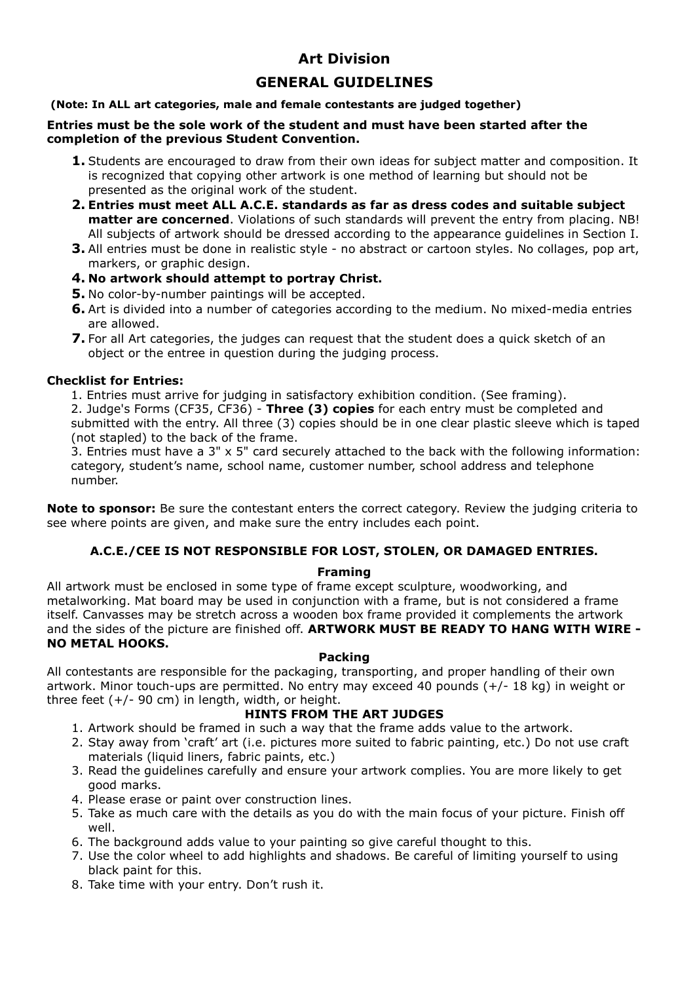# **Art Division**

# **GENERAL GUIDELINES**

### **(Note: In ALL art categories, male and female contestants are judged together)**

### **Entries must be the sole work of the student and must have been started after the completion of the previous Student Convention.**

- **1.** Students are encouraged to draw from their own ideas for subject matter and composition. It is recognized that copying other artwork is one method of learning but should not be presented as the original work of the student.
- **2. Entries must meet ALL A.C.E. standards as far as dress codes and suitable subject matter are concerned.** Violations of such standards will prevent the entry from placing. NB! All subjects of artwork should be dressed according to the appearance guidelines in Section I.
- **3.** All entries must be done in realistic style no abstract or cartoon styles. No collages, pop art, markers, or graphic design.
- **4. No artwork should attempt to portray Christ.**
- **5.** No color-by-number paintings will be accepted.
- **6.** Art is divided into a number of categories according to the medium. No mixed-media entries are allowed.
- **7.** For all Art categories, the judges can request that the student does a quick sketch of an object or the entree in question during the judging process.

### **Checklist for Entries:**

1. Entries must arrive for judging in satisfactory exhibition condition. (See framing). 2. Judge's Forms (CF35, CF36) - **Three (3) copies** for each entry must be completed and

submitted with the entry. All three (3) copies should be in one clear plastic sleeve which is taped (not stapled) to the back of the frame.

3. Entries must have a 3" x 5" card securely attached to the back with the following information: category, student's name, school name, customer number, school address and telephone number.

**Note to sponsor:** Be sure the contestant enters the correct category. Review the judging criteria to see where points are given, and make sure the entry includes each point.

### **A.C.E./CEE IS NOT RESPONSIBLE FOR LOST, STOLEN, OR DAMAGED ENTRIES.**

### **Framing**

All artwork must be enclosed in some type of frame except sculpture, woodworking, and metalworking. Mat board may be used in conjunction with a frame, but is not considered a frame itself. Canvasses may be stretch across a wooden box frame provided it complements the artwork and the sides of the picture are finished off. **ARTWORK MUST BE READY TO HANG WITH WIRE - NO METAL HOOKS.** 

### **Packing**

All contestants are responsible for the packaging, transporting, and proper handling of their own artwork. Minor touch-ups are permitted. No entry may exceed 40 pounds (+/- 18 kg) in weight or three feet (+/- 90 cm) in length, width, or height.

### **НINTS FROM THE ART JUDGES**

- 1. Artwork should be framed in such a way that the frame adds value to the artwork.
- 2. Stay away from 'craft' art (i.e. pictures more suited to fabric painting, etc.) Do not use craft materials (liquid liners, fabric paints, etc.)
- 3. Read the guidelines carefully and ensure your artwork complies. You are more likely to get good marks.
- 4. Please erase or paint over construction lines.
- 5. Take as much care with the details as you do with the main focus of your picture. Finish off well.
- 6. The background adds value to your painting so give careful thought to this.
- 7. Use the color wheel to add highlights and shadows. Be careful of limiting yourself to using black paint for this.
- 8. Take time with your entry. Don't rush it.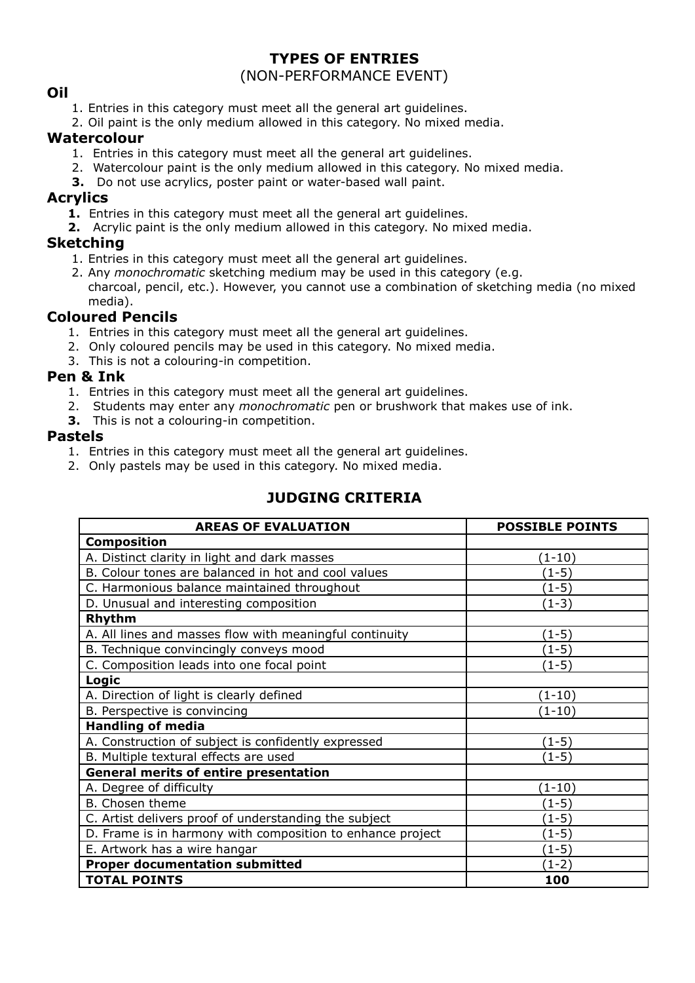# **TYPES OF ENTRIES**

# (NON-PERFORMANCE EVENT)

## **Oil**

- 1. Entries in this category must meet all the general art guidelines.
- 2. Oil paint is the only medium allowed in this category. No mixed media.

### **Watercolour**

- 1. Entries in this category must meet all the general art guidelines.
- 2. Watercolour paint is the only medium allowed in this category. No mixed media.
- **3.** Do not use acrylics, poster paint or water-based wall paint.

### **Acrylics**

- **1.** Entries in this category must meet all the general art guidelines.
- **2.** Acrylic paint is the only medium allowed in this category. No mixed media.

## **Sketching**

- 1. Entries in this category must meet all the general art guidelines.
- 2. Any *monochromatic* sketching medium may be used in this category (e.g. charcoal, pencil, etc.). However, you cannot use a combination of sketching media (no mixed media).

# **Coloured Pencils**

- 1. Entries in this category must meet all the general art guidelines.
- 2. Only coloured pencils may be used in this category. No mixed media.
- 3. This is not a colouring-in competition.

# **Pen & Ink**

- 1. Entries in this category must meet all the general art guidelines.
- 2. Students may enter any *monochromatic* pen or brushwork that makes use of ink.
- **3.** This is not a colouring-in competition.

### **Pastels**

- 1. Entries in this category must meet all the general art guidelines.
- 2. Only pastels may be used in this category. No mixed media.

# **JUDGING CRITERIA**

| <b>AREAS OF EVALUATION</b>                                 | <b>POSSIBLE POINTS</b> |
|------------------------------------------------------------|------------------------|
| <b>Composition</b>                                         |                        |
| A. Distinct clarity in light and dark masses               | $(1-10)$               |
| B. Colour tones are balanced in hot and cool values        | (1-5)                  |
| C. Harmonious balance maintained throughout                | $(1-5)$                |
| D. Unusual and interesting composition                     | $(1-3)$                |
| Rhythm                                                     |                        |
| A. All lines and masses flow with meaningful continuity    | $(1-5)$                |
| B. Technique convincingly conveys mood                     | $(1-5)$                |
| C. Composition leads into one focal point                  | $(1-5)$                |
| Logic                                                      |                        |
| A. Direction of light is clearly defined                   | $(1-10)$               |
| B. Perspective is convincing                               | (1-10)                 |
| <b>Handling of media</b>                                   |                        |
| A. Construction of subject is confidently expressed        | $(1-5)$                |
| B. Multiple textural effects are used                      | $(1-5)$                |
| <b>General merits of entire presentation</b>               |                        |
| A. Degree of difficulty                                    | $(1-10)$               |
| B. Chosen theme                                            | $(1-5)$                |
| C. Artist delivers proof of understanding the subject      | (1-5)                  |
| D. Frame is in harmony with composition to enhance project | $(1-5)$                |
| E. Artwork has a wire hangar                               | $(1-5)$                |
| <b>Proper documentation submitted</b>                      | $(1-2)$                |
| <b>TOTAL POINTS</b>                                        | 100                    |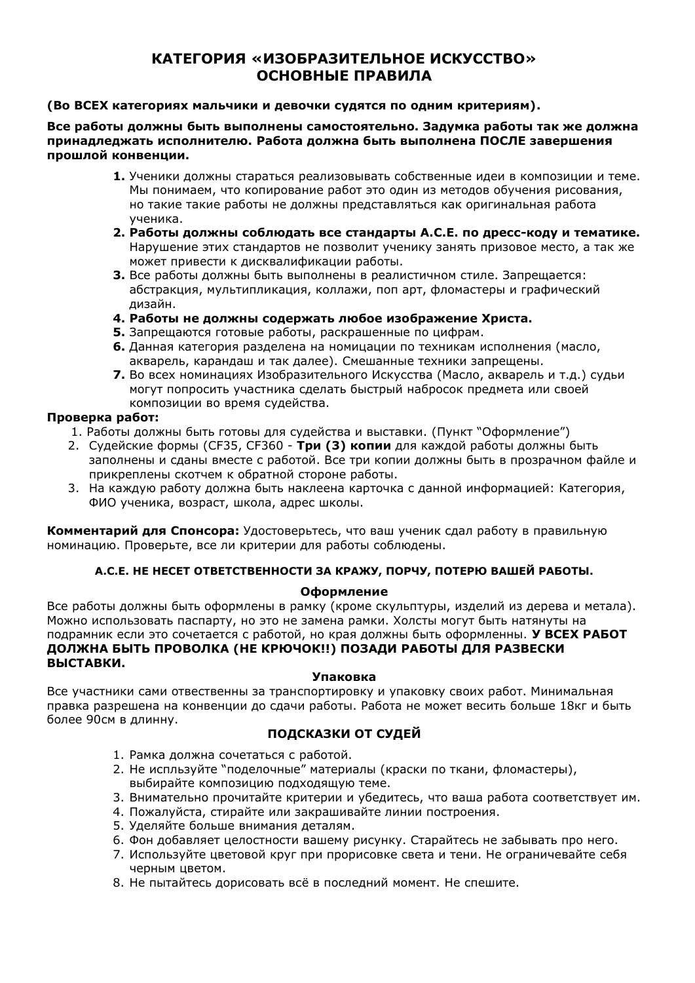# **КАТЕГОРИЯ «ИЗОБРАЗИТЕЛЬНОЕ ИСКУССТВО» ОСНОВНЫЕ ПРАВИЛА**

### **(Во ВСЕХ категориях мальчики и девочки судятся по одним критериям).**

**Все работы должны быть выполнены самостоятельно. Задумка работы так же должна принадледжать исполнителю. Работа должна быть выполнена ПОСЛЕ завершения прошлой конвенции.**

- **1.** Ученики должны стараться реализовывать собственные идеи в композиции и теме. Мы понимаем, что копирование работ это один из методов обучения рисования, но такие такие работы не должны представляться как оригинальная работа ученика.
- **2. Работы должны соблюдать все стандарты A.C.E. по дресс-коду и тематике.** Нарушение этих стандартов не позволит ученику занять призовое место, а так же может привести к дисквалификации работы.
- **3.** Все работы должны быть выполнены в реалистичном стиле. Запрещается: абстракция, мультипликация, коллажи, поп арт, фломастеры и графический дизайн.
- **4. Работы не должны содержать любое изображение Христа.**
- **5.** Запрещаются готовые работы, раскрашенные по цифрам.
- **6.** Данная категория разделена на номицации по техникам исполнения (масло, акварель, карандаш и так далее). Смешанные техники запрещены.
- **7.** Во всех номинациях Изобразительного Искусства (Масло, акварель и т.д.) судьи могут попросить участника сделать быстрый набросок предмета или своей композиции во время судейства.

### **Проверка работ:**

- 1. Работы должны быть готовы для судейства и выставки. (Пункт "Оформление")
- 2. Судейские формы (CF35, CF360 **Tри (3) копии** для каждой работы должны быть заполнены и сданы вместе с работой. Все три копии должны быть в прозрачном файле и прикреплены скотчем к обратной стороне работы.
- 3. На каждую работу должна быть наклеена карточка с данной информацией: Категория, ФИО ученика, возраст, школа, адрес школы.

**Комментарий для Спонсора:** Удостоверьтесь, что ваш ученик сдал работу в правильную номинацию. Проверьте, все ли критерии для работы соблюдены.

### **A.C.E. НЕ НЕСЕТ ОТВЕТСТВЕННОСТИ ЗА КРАЖУ, ПОРЧУ, ПОТЕРЮ ВАШЕЙ РАБОТЫ.**

### **Оформление**

Все работы должны быть оформлены в рамку (кроме скульптуры, изделий из дерева и метала). Можно использовать паспарту, но это не замена рамки. Холсты могут быть натянуты на подрамник если это сочетается с работой, но края должны быть оформленны. **У ВСЕХ РАБОТ ДОЛЖНА БЫТЬ ПРОВОЛКА (НЕ КРЮЧОК!!) ПОЗАДИ РАБОТЫ ДЛЯ РАЗВЕСКИ ВЫСТАВКИ.**

### **Упаковка**

Все участники сами отвественны за транспортировку и упаковку своих работ. Минимальная правка разрешена на конвенции до сдачи работы. Работа не может весить больше 18кг и быть более 90см в длинну.

### **ПОДСКАЗКИ ОТ СУДЕЙ**

- 1. Рамка должна сочетаться с работой.
- 2. Не испльзуйте "поделочные" материалы (краски по ткани, фломастеры), выбирайте композицию подходящую теме.
- 3. Внимательно прочитайте критерии и убедитесь, что ваша работа соответствует им.
- 4. Пожалуйста, стирайте или закрашивайте линии построения.
- 5. Уделяйте больше внимания деталям.
- 6. Фон добавляет целостности вашему рисунку. Старайтесь не забывать про него.
- 7. Используйте цветовой круг при прорисовке света и тени. Не ограничевайте себя черным цветом.
- 8. Не пытайтесь дорисовать всё в последний момент. Не спешите.